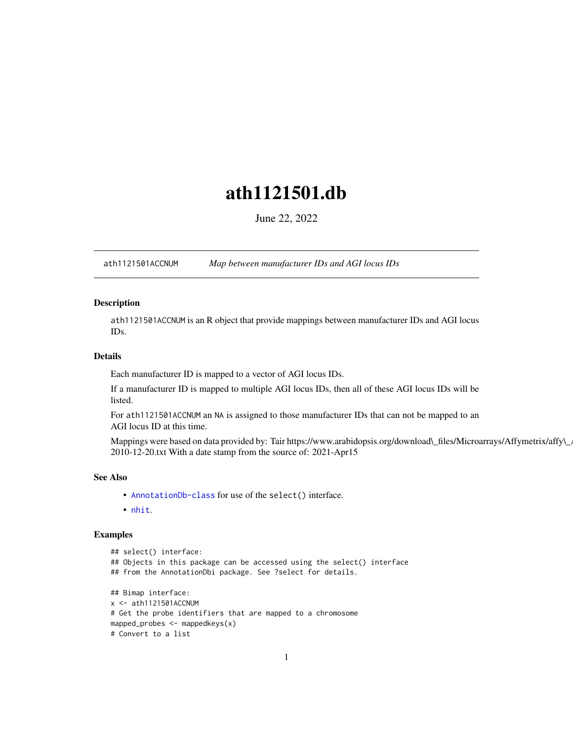## <span id="page-0-1"></span>ath1121501.db

June 22, 2022

<span id="page-0-0"></span>ath1121501ACCNUM *Map between manufacturer IDs and AGI locus IDs*

## Description

ath1121501ACCNUM is an R object that provide mappings between manufacturer IDs and AGI locus IDs.

## Details

Each manufacturer ID is mapped to a vector of AGI locus IDs.

If a manufacturer ID is mapped to multiple AGI locus IDs, then all of these AGI locus IDs will be listed.

For ath1121501ACCNUM an NA is assigned to those manufacturer IDs that can not be mapped to an AGI locus ID at this time.

Mappings were based on data provided by: Tair https://www.arabidopsis.org/download\\_files/Microarrays/Affymetrix/affy\\_ 2010-12-20.txt With a date stamp from the source of: 2021-Apr15

## See Also

- AnnotationDb-class for use of the select() interface.
- nhit.

```
## select() interface:
## Objects in this package can be accessed using the select() interface
## from the AnnotationDbi package. See ?select for details.
## Bimap interface:
x <- ath1121501ACCNUM
# Get the probe identifiers that are mapped to a chromosome
mapped_probes \leq mappedkeys(x)
# Convert to a list
```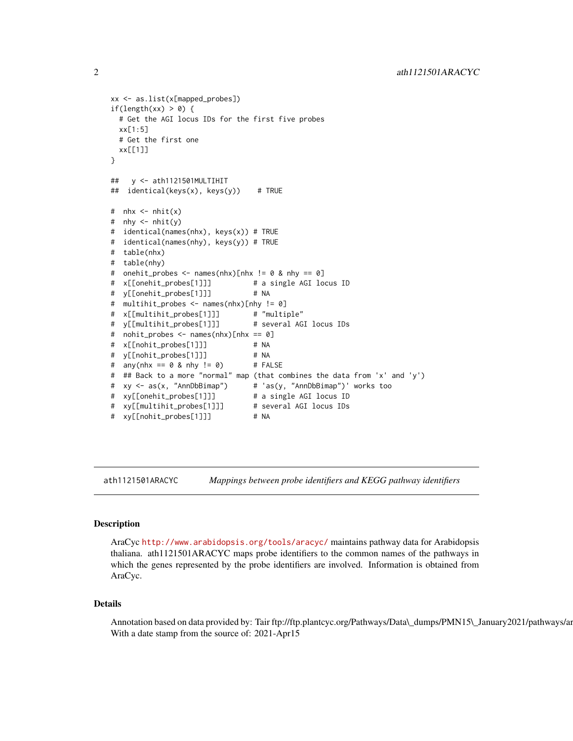```
xx <- as.list(x[mapped_probes])
if(length(xx) > 0) {
 # Get the AGI locus IDs for the first five probes
 xx[1:5]
 # Get the first one
 xx[[1]]
}
## y <- ath1121501MULTIHIT
## identical(keys(x), keys(y)) # TRUE
# nhx \leq -nhit(x)# nhy \leq nhit(y)# identical(names(nhx), keys(x)) # TRUE
# identical(names(nhy), keys(y)) # TRUE
# table(nhx)
# table(nhy)
# onehit_probes <- names(nhx)[nhx != 0 & nhy == 0]
# x[[onehit_probes[1]]] # a single AGI locus ID
# y[[onehit_probes[1]]] # NA
# multihit_probes <- names(nhx)[nhy != 0]
# x[[multihit_probes[1]]] # "multiple"
# y[[multihit_probes[1]]] # several AGI locus IDs
# nohit_probes <- names(nhx)[nhx == 0]
# x[[nohit_probes[1]]] # NA
# y[[nohit_probes[1]]] # NA
# any(nhx == 0 \&thinspace nhy != 0) # FALSE
# ## Back to a more "normal" map (that combines the data from 'x' and 'y')
# xy <- as(x, "AnnDbBimap") # 'as(y, "AnnDbBimap")' works too
# xy[[onehit_probes[1]]] # a single AGI locus ID
# xy[[multihit_probes[1]]] # several AGI locus IDs
# xy[[nohit_probes[1]]] # NA
```
ath1121501ARACYC *Mappings between probe identifiers and KEGG pathway identifiers*

## Description

AraCyc <http://www.arabidopsis.org/tools/aracyc/> maintains pathway data for Arabidopsis thaliana. ath1121501ARACYC maps probe identifiers to the common names of the pathways in which the genes represented by the probe identifiers are involved. Information is obtained from AraCyc.

#### Details

Annotation based on data provided by: Tair ftp://ftp.plantcyc.org/Pathways/Data\\_dumps/PMN15\\_January2021/pathways/ar With a date stamp from the source of: 2021-Apr15

<span id="page-1-0"></span>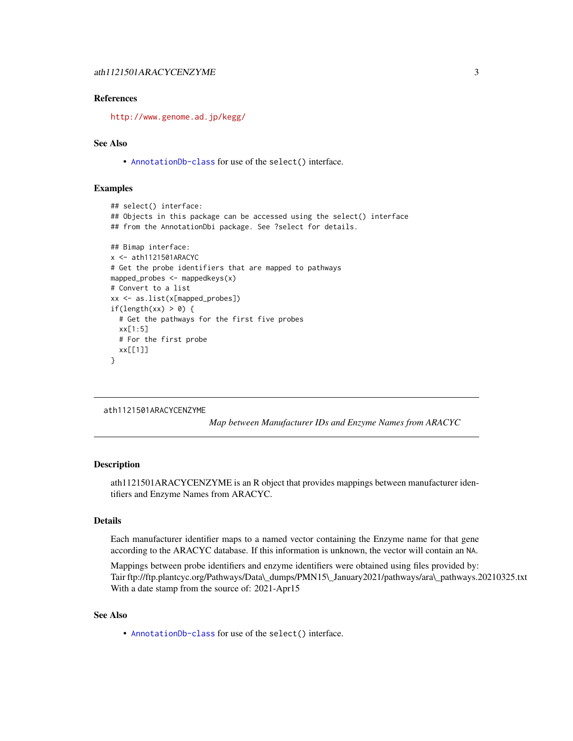## <span id="page-2-0"></span>References

<http://www.genome.ad.jp/kegg/>

## See Also

• [AnnotationDb-class](#page-0-0) for use of the select() interface.

## Examples

```
## select() interface:
## Objects in this package can be accessed using the select() interface
## from the AnnotationDbi package. See ?select for details.
## Bimap interface:
x <- ath1121501ARACYC
# Get the probe identifiers that are mapped to pathways
mapped_probes <- mappedkeys(x)
# Convert to a list
xx <- as.list(x[mapped_probes])
if(length(xx) > 0) {
  # Get the pathways for the first five probes
  xx[1:5]
  # For the first probe
  xx[[1]]
}
```

```
ath1121501ARACYCENZYME
```
*Map between Manufacturer IDs and Enzyme Names from ARACYC*

#### **Description**

ath1121501ARACYCENZYME is an R object that provides mappings between manufacturer identifiers and Enzyme Names from ARACYC.

## Details

Each manufacturer identifier maps to a named vector containing the Enzyme name for that gene according to the ARACYC database. If this information is unknown, the vector will contain an NA.

Mappings between probe identifiers and enzyme identifiers were obtained using files provided by: Tair ftp://ftp.plantcyc.org/Pathways/Data\\_dumps/PMN15\\_January2021/pathways/ara\\_pathways.20210325.txt With a date stamp from the source of: 2021-Apr15

#### See Also

• [AnnotationDb-class](#page-0-0) for use of the select() interface.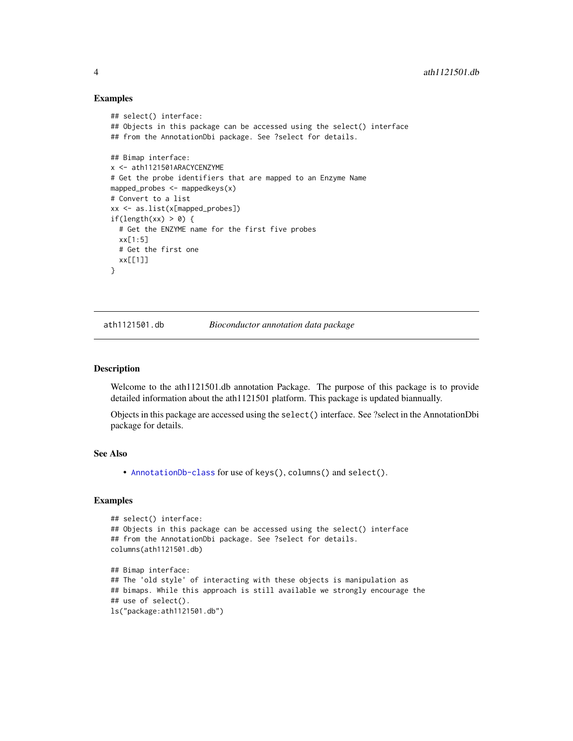#### Examples

```
## select() interface:
## Objects in this package can be accessed using the select() interface
## from the AnnotationDbi package. See ?select for details.
## Bimap interface:
x <- ath1121501ARACYCENZYME
# Get the probe identifiers that are mapped to an Enzyme Name
mapped_probes <- mappedkeys(x)
# Convert to a list
xx <- as.list(x[mapped_probes])
if(length(xx) > 0) {
  # Get the ENZYME name for the first five probes
  xx[1:5]
  # Get the first one
  xx[[1]]
}
```
ath1121501.db *Bioconductor annotation data package*

#### Description

Welcome to the ath1121501.db annotation Package. The purpose of this package is to provide detailed information about the ath1121501 platform. This package is updated biannually.

Objects in this package are accessed using the select() interface. See ?select in the AnnotationDbi package for details.

## See Also

• [AnnotationDb-class](#page-0-0) for use of keys(), columns() and select().

```
## select() interface:
## Objects in this package can be accessed using the select() interface
## from the AnnotationDbi package. See ?select for details.
columns(ath1121501.db)
## Bimap interface:
## The 'old style' of interacting with these objects is manipulation as
## bimaps. While this approach is still available we strongly encourage the
## use of select().
ls("package:ath1121501.db")
```
<span id="page-3-0"></span>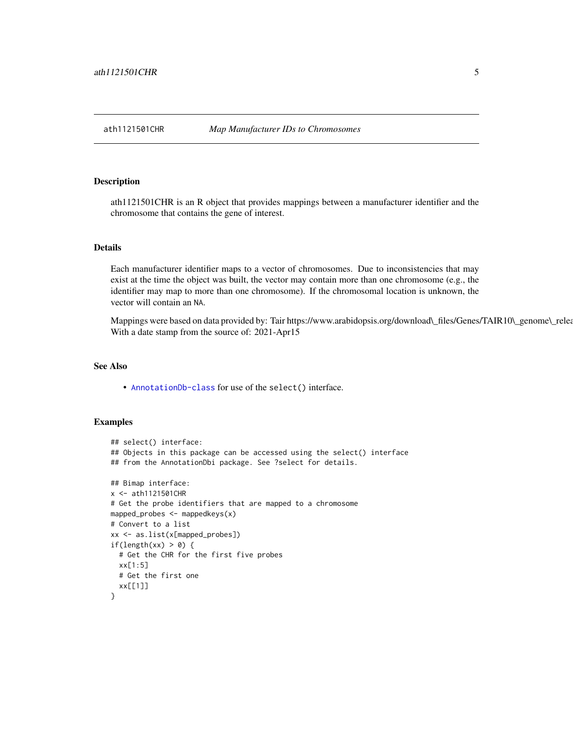#### <span id="page-4-0"></span>Description

ath1121501CHR is an R object that provides mappings between a manufacturer identifier and the chromosome that contains the gene of interest.

## Details

Each manufacturer identifier maps to a vector of chromosomes. Due to inconsistencies that may exist at the time the object was built, the vector may contain more than one chromosome (e.g., the identifier may map to more than one chromosome). If the chromosomal location is unknown, the vector will contain an NA.

Mappings were based on data provided by: Tair https://www.arabidopsis.org/download\\_files/Genes/TAIR10\\_genome\\_relea With a date stamp from the source of: 2021-Apr15

## See Also

• [AnnotationDb-class](#page-0-0) for use of the select() interface.

```
## select() interface:
## Objects in this package can be accessed using the select() interface
## from the AnnotationDbi package. See ?select for details.
## Bimap interface:
x <- ath1121501CHR
# Get the probe identifiers that are mapped to a chromosome
mapped_probes <- mappedkeys(x)
# Convert to a list
xx <- as.list(x[mapped_probes])
if(length(xx) > 0) {
 # Get the CHR for the first five probes
 xx[1:5]
 # Get the first one
 xx[[1]]
}
```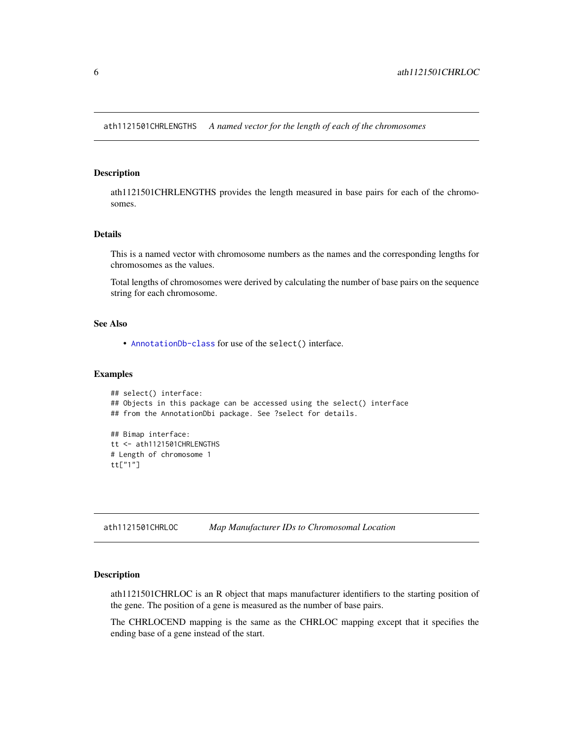<span id="page-5-0"></span>ath1121501CHRLENGTHS *A named vector for the length of each of the chromosomes*

#### Description

ath1121501CHRLENGTHS provides the length measured in base pairs for each of the chromosomes.

#### Details

This is a named vector with chromosome numbers as the names and the corresponding lengths for chromosomes as the values.

Total lengths of chromosomes were derived by calculating the number of base pairs on the sequence string for each chromosome.

## See Also

• [AnnotationDb-class](#page-0-0) for use of the select() interface.

#### Examples

```
## select() interface:
## Objects in this package can be accessed using the select() interface
## from the AnnotationDbi package. See ?select for details.
## Bimap interface:
tt <- ath1121501CHRLENGTHS
# Length of chromosome 1
tt["1"]
```
ath1121501CHRLOC *Map Manufacturer IDs to Chromosomal Location*

#### Description

ath1121501CHRLOC is an R object that maps manufacturer identifiers to the starting position of the gene. The position of a gene is measured as the number of base pairs.

The CHRLOCEND mapping is the same as the CHRLOC mapping except that it specifies the ending base of a gene instead of the start.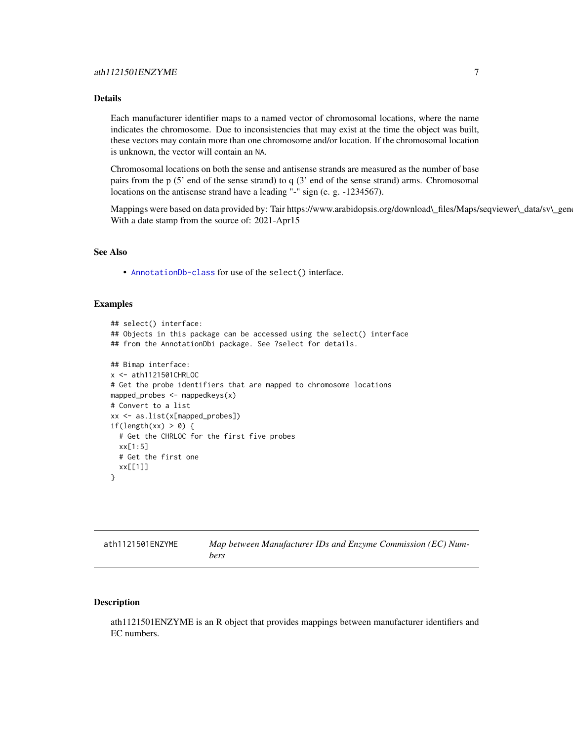## <span id="page-6-0"></span>Details

Each manufacturer identifier maps to a named vector of chromosomal locations, where the name indicates the chromosome. Due to inconsistencies that may exist at the time the object was built, these vectors may contain more than one chromosome and/or location. If the chromosomal location is unknown, the vector will contain an NA.

Chromosomal locations on both the sense and antisense strands are measured as the number of base pairs from the p (5' end of the sense strand) to q (3' end of the sense strand) arms. Chromosomal locations on the antisense strand have a leading "-" sign (e. g. -1234567).

Mappings were based on data provided by: Tair https://www.arabidopsis.org/download\\_files/Maps/seqviewer\\_data/sv\\_gen With a date stamp from the source of: 2021-Apr15

## See Also

• [AnnotationDb-class](#page-0-0) for use of the select() interface.

## Examples

```
## select() interface:
## Objects in this package can be accessed using the select() interface
## from the AnnotationDbi package. See ?select for details.
## Bimap interface:
x <- ath1121501CHRLOC
# Get the probe identifiers that are mapped to chromosome locations
mapped_probes <- mappedkeys(x)
# Convert to a list
xx <- as.list(x[mapped_probes])
if(length(xx) > 0) {
 # Get the CHRLOC for the first five probes
 xx[1:5]
 # Get the first one
 xx[[1]]
}
```

| ath1121501ENZYME | Map between Manufacturer IDs and Enzyme Commission (EC) Num- |
|------------------|--------------------------------------------------------------|
|                  | bers                                                         |

## **Description**

ath1121501ENZYME is an R object that provides mappings between manufacturer identifiers and EC numbers.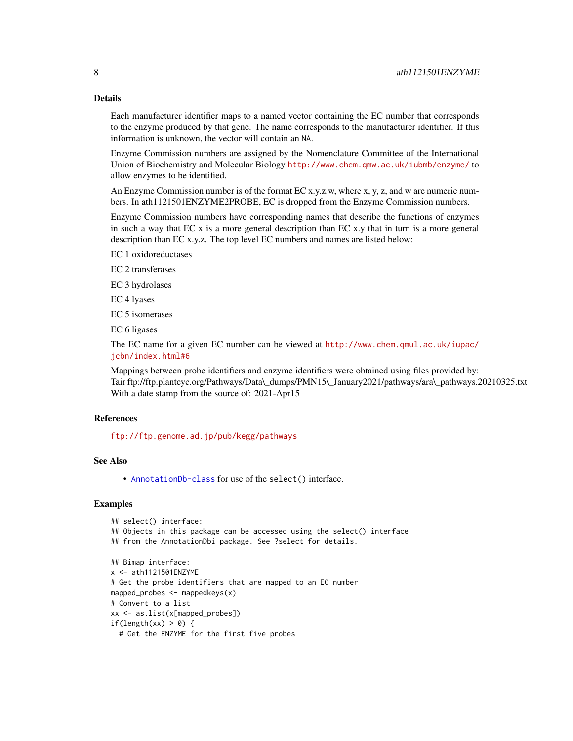## Details

Each manufacturer identifier maps to a named vector containing the EC number that corresponds to the enzyme produced by that gene. The name corresponds to the manufacturer identifier. If this information is unknown, the vector will contain an NA.

Enzyme Commission numbers are assigned by the Nomenclature Committee of the International Union of Biochemistry and Molecular Biology <http://www.chem.qmw.ac.uk/iubmb/enzyme/> to allow enzymes to be identified.

An Enzyme Commission number is of the format EC x.y.z.w, where x, y, z, and w are numeric numbers. In ath1121501ENZYME2PROBE, EC is dropped from the Enzyme Commission numbers.

Enzyme Commission numbers have corresponding names that describe the functions of enzymes in such a way that  $ECx$  is a more general description than  $ECx$ . That in turn is a more general description than EC x.y.z. The top level EC numbers and names are listed below:

EC 1 oxidoreductases

EC 2 transferases

EC 3 hydrolases

EC 4 lyases

EC 5 isomerases

EC 6 ligases

The EC name for a given EC number can be viewed at [http://www.chem.qmul.ac.uk/iupac/](http://www.chem.qmul.ac.uk/iupac/jcbn/index.html#6) [jcbn/index.html#6](http://www.chem.qmul.ac.uk/iupac/jcbn/index.html#6)

Mappings between probe identifiers and enzyme identifiers were obtained using files provided by: Tair ftp://ftp.plantcyc.org/Pathways/Data\\_dumps/PMN15\\_January2021/pathways/ara\\_pathways.20210325.txt With a date stamp from the source of: 2021-Apr15

#### References

<ftp://ftp.genome.ad.jp/pub/kegg/pathways>

## See Also

• [AnnotationDb-class](#page-0-0) for use of the select() interface.

```
## select() interface:
## Objects in this package can be accessed using the select() interface
## from the AnnotationDbi package. See ?select for details.
## Bimap interface:
x <- ath1121501ENZYME
# Get the probe identifiers that are mapped to an EC number
mapped_probes <- mappedkeys(x)
# Convert to a list
xx <- as.list(x[mapped_probes])
if(length(xx) > 0) {
 # Get the ENZYME for the first five probes
```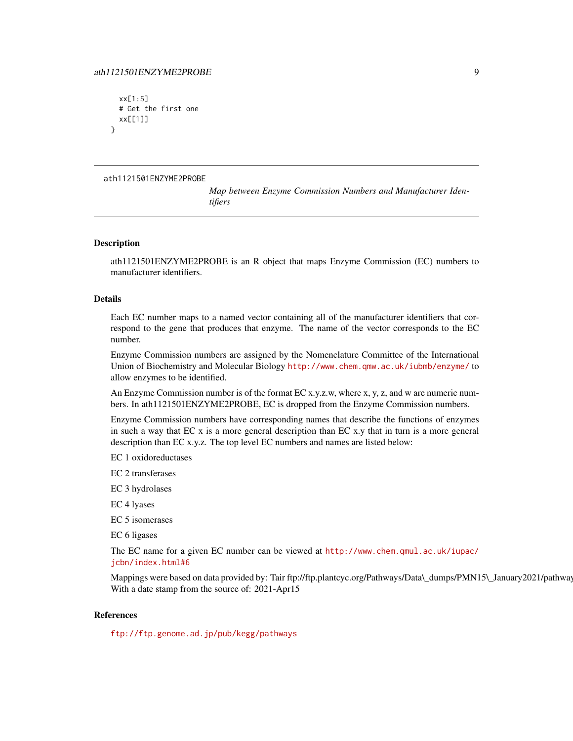## <span id="page-8-0"></span>ath1121501ENZYME2PROBE 9

```
xx[1:5]
 # Get the first one
 xx[[1]]
}
```
#### ath1121501ENZYME2PROBE

*Map between Enzyme Commission Numbers and Manufacturer Identifiers*

## **Description**

ath1121501ENZYME2PROBE is an R object that maps Enzyme Commission (EC) numbers to manufacturer identifiers.

## Details

Each EC number maps to a named vector containing all of the manufacturer identifiers that correspond to the gene that produces that enzyme. The name of the vector corresponds to the EC number.

Enzyme Commission numbers are assigned by the Nomenclature Committee of the International Union of Biochemistry and Molecular Biology <http://www.chem.qmw.ac.uk/iubmb/enzyme/> to allow enzymes to be identified.

An Enzyme Commission number is of the format EC x.y.z.w, where x, y, z, and w are numeric numbers. In ath1121501ENZYME2PROBE, EC is dropped from the Enzyme Commission numbers.

Enzyme Commission numbers have corresponding names that describe the functions of enzymes in such a way that EC x is a more general description than EC x.y that in turn is a more general description than EC x.y.z. The top level EC numbers and names are listed below:

EC 1 oxidoreductases

EC 2 transferases

EC 3 hydrolases

EC 4 lyases

EC 5 isomerases

EC 6 ligases

The EC name for a given EC number can be viewed at [http://www.chem.qmul.ac.uk/iupac/](http://www.chem.qmul.ac.uk/iupac/jcbn/index.html#6) [jcbn/index.html#6](http://www.chem.qmul.ac.uk/iupac/jcbn/index.html#6)

Mappings were based on data provided by: Tair ftp://ftp.plantcyc.org/Pathways/Data\\_dumps/PMN15\\_January2021/pathway With a date stamp from the source of: 2021-Apr15

#### References

<ftp://ftp.genome.ad.jp/pub/kegg/pathways>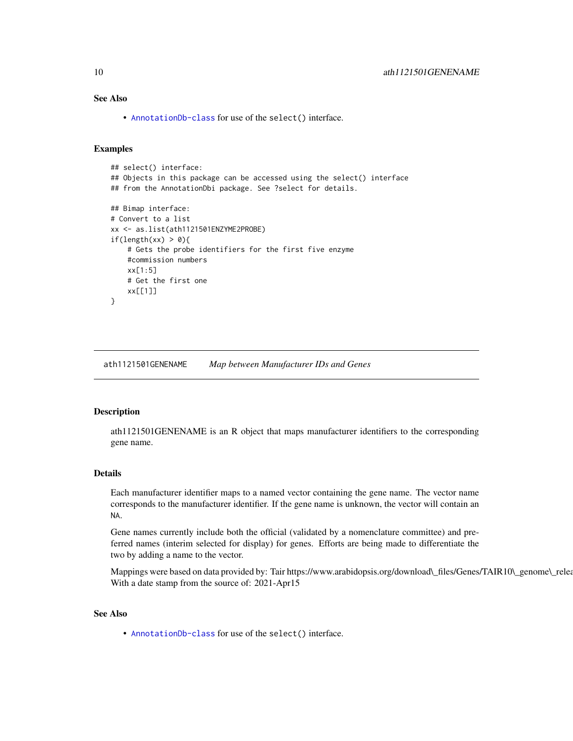<span id="page-9-0"></span>• [AnnotationDb-class](#page-0-0) for use of the select() interface.

## Examples

```
## select() interface:
## Objects in this package can be accessed using the select() interface
## from the AnnotationDbi package. See ?select for details.
## Bimap interface:
# Convert to a list
xx <- as.list(ath1121501ENZYME2PROBE)
if(length(xx) > 0){
    # Gets the probe identifiers for the first five enzyme
   #commission numbers
   xx[1:5]
   # Get the first one
   xx[[1]]
}
```
ath1121501GENENAME *Map between Manufacturer IDs and Genes*

#### Description

ath1121501GENENAME is an R object that maps manufacturer identifiers to the corresponding gene name.

#### Details

Each manufacturer identifier maps to a named vector containing the gene name. The vector name corresponds to the manufacturer identifier. If the gene name is unknown, the vector will contain an NA.

Gene names currently include both the official (validated by a nomenclature committee) and preferred names (interim selected for display) for genes. Efforts are being made to differentiate the two by adding a name to the vector.

Mappings were based on data provided by: Tair https://www.arabidopsis.org/download\\_files/Genes/TAIR10\\_genome\\_relea With a date stamp from the source of: 2021-Apr15

## See Also

• [AnnotationDb-class](#page-0-0) for use of the select() interface.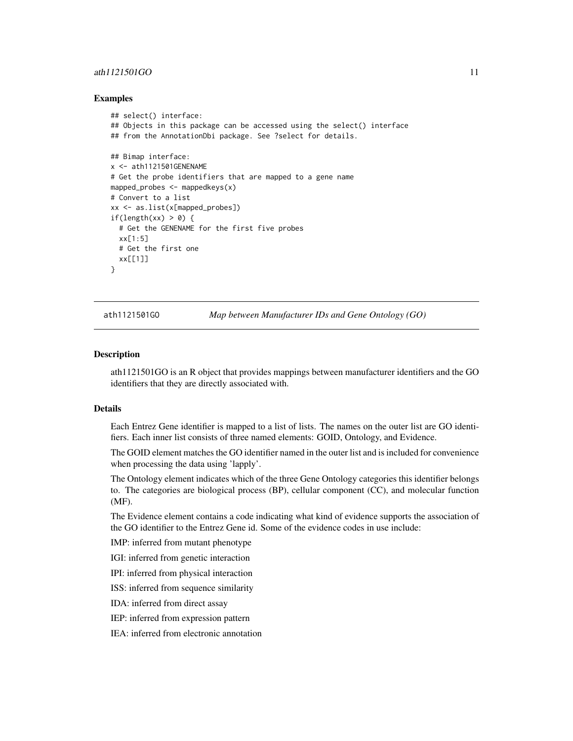## <span id="page-10-0"></span>ath1121501GO 11

#### Examples

```
## select() interface:
## Objects in this package can be accessed using the select() interface
## from the AnnotationDbi package. See ?select for details.
## Bimap interface:
x <- ath1121501GENENAME
# Get the probe identifiers that are mapped to a gene name
mapped_probes <- mappedkeys(x)
# Convert to a list
xx <- as.list(x[mapped_probes])
if(length(xx) > 0) {
  # Get the GENENAME for the first five probes
  xx[1:5]
  # Get the first one
  xx[[1]]
}
```
ath1121501GO *Map between Manufacturer IDs and Gene Ontology (GO)*

#### Description

ath1121501GO is an R object that provides mappings between manufacturer identifiers and the GO identifiers that they are directly associated with.

#### Details

Each Entrez Gene identifier is mapped to a list of lists. The names on the outer list are GO identifiers. Each inner list consists of three named elements: GOID, Ontology, and Evidence.

The GOID element matches the GO identifier named in the outer list and is included for convenience when processing the data using 'lapply'.

The Ontology element indicates which of the three Gene Ontology categories this identifier belongs to. The categories are biological process (BP), cellular component (CC), and molecular function (MF).

The Evidence element contains a code indicating what kind of evidence supports the association of the GO identifier to the Entrez Gene id. Some of the evidence codes in use include:

IMP: inferred from mutant phenotype

IGI: inferred from genetic interaction

IPI: inferred from physical interaction

ISS: inferred from sequence similarity

IDA: inferred from direct assay

IEP: inferred from expression pattern

IEA: inferred from electronic annotation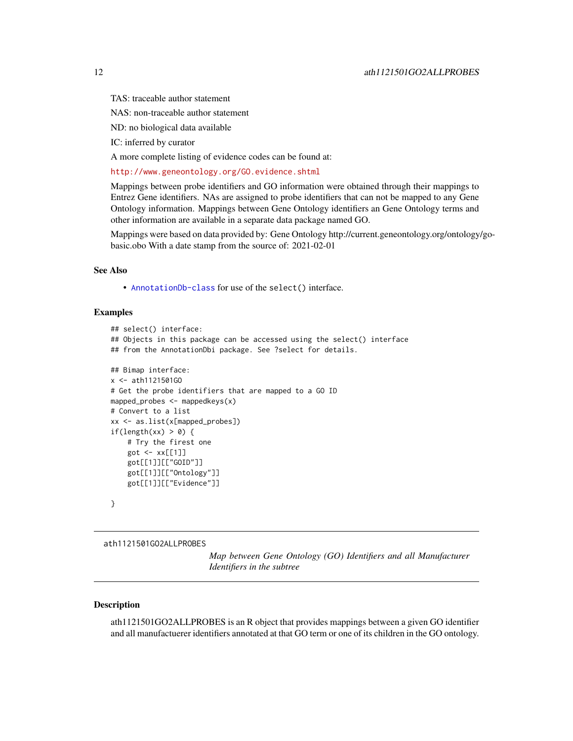<span id="page-11-0"></span>TAS: traceable author statement

NAS: non-traceable author statement

ND: no biological data available

IC: inferred by curator

A more complete listing of evidence codes can be found at:

<http://www.geneontology.org/GO.evidence.shtml>

Mappings between probe identifiers and GO information were obtained through their mappings to Entrez Gene identifiers. NAs are assigned to probe identifiers that can not be mapped to any Gene Ontology information. Mappings between Gene Ontology identifiers an Gene Ontology terms and other information are available in a separate data package named GO.

Mappings were based on data provided by: Gene Ontology http://current.geneontology.org/ontology/gobasic.obo With a date stamp from the source of: 2021-02-01

#### See Also

• [AnnotationDb-class](#page-0-0) for use of the select() interface.

## Examples

```
## select() interface:
## Objects in this package can be accessed using the select() interface
## from the AnnotationDbi package. See ?select for details.
## Bimap interface:
x <- ath1121501GO
# Get the probe identifiers that are mapped to a GO ID
mapped_probes \leq mappedkeys(x)
# Convert to a list
xx <- as.list(x[mapped_probes])
if(length(xx) > 0) {
    # Try the firest one
    got <- xx[[1]]
    got[[1]][["GOID"]]
    got[[1]][["Ontology"]]
    got[[1]][["Evidence"]]
}
```

```
ath1121501GO2ALLPROBES
```
*Map between Gene Ontology (GO) Identifiers and all Manufacturer Identifiers in the subtree*

## Description

ath1121501GO2ALLPROBES is an R object that provides mappings between a given GO identifier and all manufactuerer identifiers annotated at that GO term or one of its children in the GO ontology.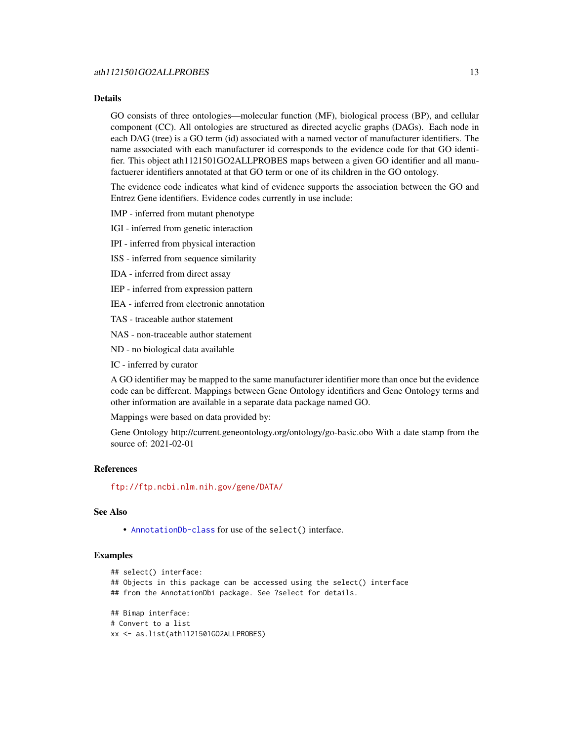## Details

GO consists of three ontologies—molecular function (MF), biological process (BP), and cellular component (CC). All ontologies are structured as directed acyclic graphs (DAGs). Each node in each DAG (tree) is a GO term (id) associated with a named vector of manufacturer identifiers. The name associated with each manufacturer id corresponds to the evidence code for that GO identifier. This object ath1121501GO2ALLPROBES maps between a given GO identifier and all manufactuerer identifiers annotated at that GO term or one of its children in the GO ontology.

The evidence code indicates what kind of evidence supports the association between the GO and Entrez Gene identifiers. Evidence codes currently in use include:

IMP - inferred from mutant phenotype

IGI - inferred from genetic interaction

IPI - inferred from physical interaction

ISS - inferred from sequence similarity

IDA - inferred from direct assay

IEP - inferred from expression pattern

IEA - inferred from electronic annotation

TAS - traceable author statement

NAS - non-traceable author statement

ND - no biological data available

IC - inferred by curator

A GO identifier may be mapped to the same manufacturer identifier more than once but the evidence code can be different. Mappings between Gene Ontology identifiers and Gene Ontology terms and other information are available in a separate data package named GO.

Mappings were based on data provided by:

Gene Ontology http://current.geneontology.org/ontology/go-basic.obo With a date stamp from the source of: 2021-02-01

#### References

<ftp://ftp.ncbi.nlm.nih.gov/gene/DATA/>

#### See Also

• [AnnotationDb-class](#page-0-0) for use of the select() interface.

```
## select() interface:
## Objects in this package can be accessed using the select() interface
## from the AnnotationDbi package. See ?select for details.
## Bimap interface:
# Convert to a list
xx <- as.list(ath1121501GO2ALLPROBES)
```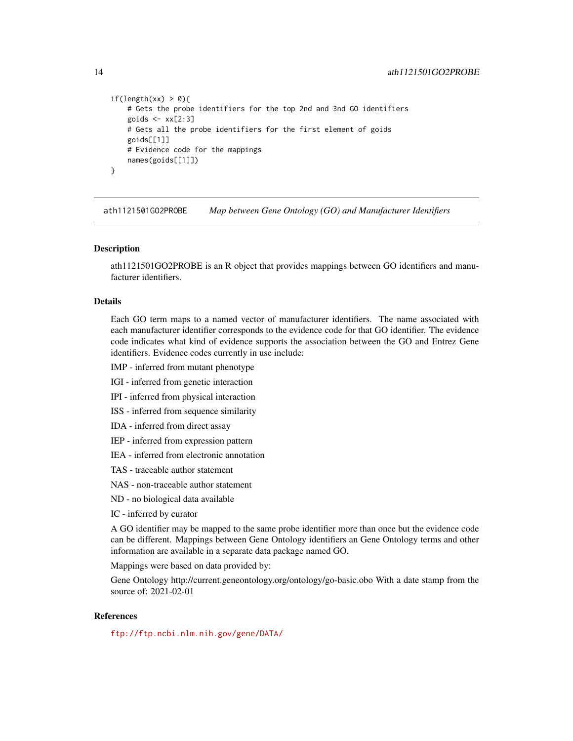```
if(length(xx) > 0){
    # Gets the probe identifiers for the top 2nd and 3nd GO identifiers
    goids \leq -x \times [2:3]# Gets all the probe identifiers for the first element of goids
    goids[[1]]
    # Evidence code for the mappings
    names(goids[[1]])
}
```
ath1121501GO2PROBE *Map between Gene Ontology (GO) and Manufacturer Identifiers*

#### Description

ath1121501GO2PROBE is an R object that provides mappings between GO identifiers and manufacturer identifiers.

#### Details

Each GO term maps to a named vector of manufacturer identifiers. The name associated with each manufacturer identifier corresponds to the evidence code for that GO identifier. The evidence code indicates what kind of evidence supports the association between the GO and Entrez Gene identifiers. Evidence codes currently in use include:

- IMP inferred from mutant phenotype
- IGI inferred from genetic interaction
- IPI inferred from physical interaction
- ISS inferred from sequence similarity
- IDA inferred from direct assay
- IEP inferred from expression pattern
- IEA inferred from electronic annotation
- TAS traceable author statement
- NAS non-traceable author statement
- ND no biological data available
- IC inferred by curator

A GO identifier may be mapped to the same probe identifier more than once but the evidence code can be different. Mappings between Gene Ontology identifiers an Gene Ontology terms and other information are available in a separate data package named GO.

Mappings were based on data provided by:

Gene Ontology http://current.geneontology.org/ontology/go-basic.obo With a date stamp from the source of: 2021-02-01

## References

<ftp://ftp.ncbi.nlm.nih.gov/gene/DATA/>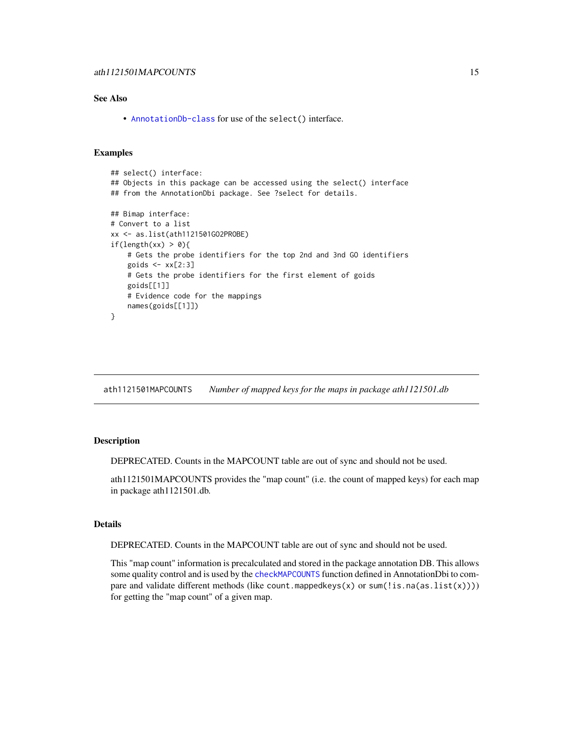<span id="page-14-0"></span>• [AnnotationDb-class](#page-0-0) for use of the select() interface.

#### Examples

```
## select() interface:
## Objects in this package can be accessed using the select() interface
## from the AnnotationDbi package. See ?select for details.
## Bimap interface:
# Convert to a list
xx <- as.list(ath1121501GO2PROBE)
if(length(xx) > 0)# Gets the probe identifiers for the top 2nd and 3nd GO identifiers
   goids \leq -x \times [2:3]# Gets the probe identifiers for the first element of goids
   goids[[1]]
   # Evidence code for the mappings
   names(goids[[1]])
}
```
ath1121501MAPCOUNTS *Number of mapped keys for the maps in package ath1121501.db*

## Description

DEPRECATED. Counts in the MAPCOUNT table are out of sync and should not be used.

ath1121501MAPCOUNTS provides the "map count" (i.e. the count of mapped keys) for each map in package ath1121501.db.

## Details

DEPRECATED. Counts in the MAPCOUNT table are out of sync and should not be used.

This "map count" information is precalculated and stored in the package annotation DB. This allows some quality control and is used by the [checkMAPCOUNTS](#page-0-0) function defined in AnnotationDbi to compare and validate different methods (like count.mappedkeys(x) or sum(!is.na(as.list(x)))) for getting the "map count" of a given map.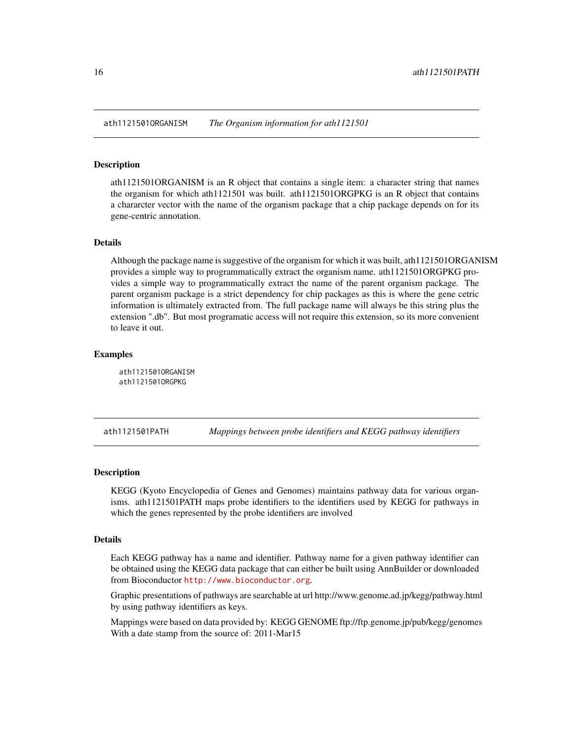<span id="page-15-0"></span>ath1121501ORGANISM *The Organism information for ath1121501*

## Description

ath1121501ORGANISM is an R object that contains a single item: a character string that names the organism for which ath1121501 was built. ath1121501ORGPKG is an R object that contains a chararcter vector with the name of the organism package that a chip package depends on for its gene-centric annotation.

## Details

Although the package name is suggestive of the organism for which it was built, ath1121501ORGANISM provides a simple way to programmatically extract the organism name. ath1121501ORGPKG provides a simple way to programmatically extract the name of the parent organism package. The parent organism package is a strict dependency for chip packages as this is where the gene cetric information is ultimately extracted from. The full package name will always be this string plus the extension ".db". But most programatic access will not require this extension, so its more convenient to leave it out.

## **Examples**

ath1121501ORGANISM ath1121501ORGPKG

ath1121501PATH *Mappings between probe identifiers and KEGG pathway identifiers*

#### Description

KEGG (Kyoto Encyclopedia of Genes and Genomes) maintains pathway data for various organisms. ath1121501PATH maps probe identifiers to the identifiers used by KEGG for pathways in which the genes represented by the probe identifiers are involved

#### Details

Each KEGG pathway has a name and identifier. Pathway name for a given pathway identifier can be obtained using the KEGG data package that can either be built using AnnBuilder or downloaded from Bioconductor <http://www.bioconductor.org>.

Graphic presentations of pathways are searchable at url http://www.genome.ad.jp/kegg/pathway.html by using pathway identifiers as keys.

Mappings were based on data provided by: KEGG GENOME ftp://ftp.genome.jp/pub/kegg/genomes With a date stamp from the source of: 2011-Mar15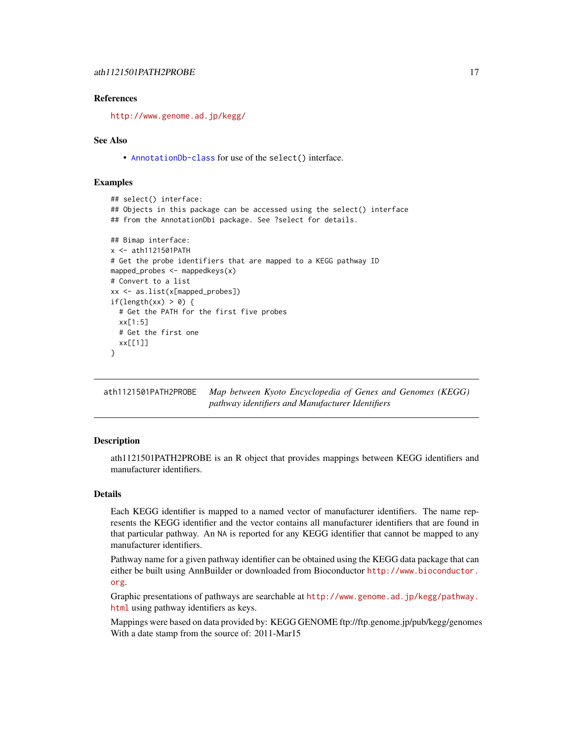## <span id="page-16-0"></span>References

<http://www.genome.ad.jp/kegg/>

#### See Also

• [AnnotationDb-class](#page-0-0) for use of the select() interface.

#### Examples

```
## select() interface:
## Objects in this package can be accessed using the select() interface
## from the AnnotationDbi package. See ?select for details.
## Bimap interface:
x <- ath1121501PATH
# Get the probe identifiers that are mapped to a KEGG pathway ID
mapped_probes <- mappedkeys(x)
# Convert to a list
xx <- as.list(x[mapped_probes])
if(length(xx) > 0) {
 # Get the PATH for the first five probes
 xx[1:5]
 # Get the first one
 xx[[1]]
}
```
ath1121501PATH2PROBE *Map between Kyoto Encyclopedia of Genes and Genomes (KEGG) pathway identifiers and Manufacturer Identifiers*

## Description

ath1121501PATH2PROBE is an R object that provides mappings between KEGG identifiers and manufacturer identifiers.

#### Details

Each KEGG identifier is mapped to a named vector of manufacturer identifiers. The name represents the KEGG identifier and the vector contains all manufacturer identifiers that are found in that particular pathway. An NA is reported for any KEGG identifier that cannot be mapped to any manufacturer identifiers.

Pathway name for a given pathway identifier can be obtained using the KEGG data package that can either be built using AnnBuilder or downloaded from Bioconductor [http://www.bioconductor.](http://www.bioconductor.org) [org](http://www.bioconductor.org).

Graphic presentations of pathways are searchable at [http://www.genome.ad.jp/kegg/pathway.](http://www.genome.ad.jp/kegg/pathway.html) [html](http://www.genome.ad.jp/kegg/pathway.html) using pathway identifiers as keys.

Mappings were based on data provided by: KEGG GENOME ftp://ftp.genome.jp/pub/kegg/genomes With a date stamp from the source of: 2011-Mar15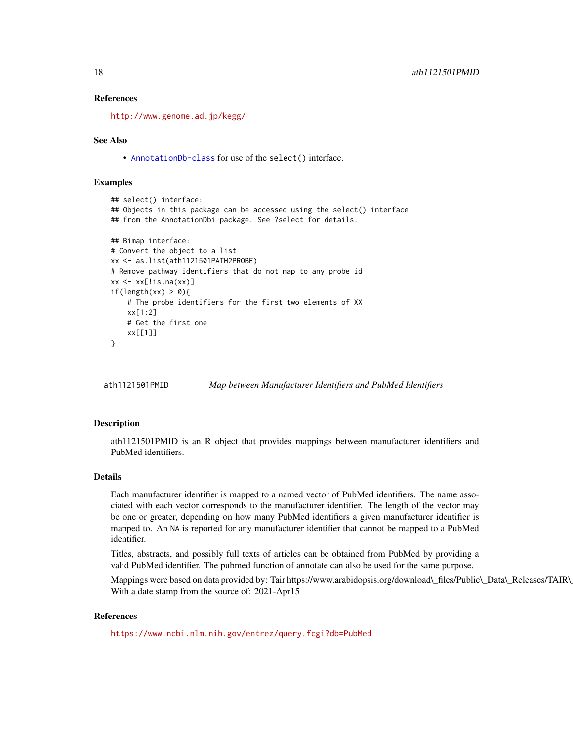#### <span id="page-17-0"></span>References

<http://www.genome.ad.jp/kegg/>

#### See Also

• [AnnotationDb-class](#page-0-0) for use of the select() interface.

## Examples

```
## select() interface:
## Objects in this package can be accessed using the select() interface
## from the AnnotationDbi package. See ?select for details.
## Bimap interface:
# Convert the object to a list
xx <- as.list(ath1121501PATH2PROBE)
# Remove pathway identifiers that do not map to any probe id
xx \leftarrow xx[!is.na(xx)]if(length(xx) > 0){
    # The probe identifiers for the first two elements of XX
   xx[1:2]
   # Get the first one
   xx[[1]]
}
```
ath1121501PMID *Map between Manufacturer Identifiers and PubMed Identifiers*

#### **Description**

ath1121501PMID is an R object that provides mappings between manufacturer identifiers and PubMed identifiers.

#### Details

Each manufacturer identifier is mapped to a named vector of PubMed identifiers. The name associated with each vector corresponds to the manufacturer identifier. The length of the vector may be one or greater, depending on how many PubMed identifiers a given manufacturer identifier is mapped to. An NA is reported for any manufacturer identifier that cannot be mapped to a PubMed identifier.

Titles, abstracts, and possibly full texts of articles can be obtained from PubMed by providing a valid PubMed identifier. The pubmed function of annotate can also be used for the same purpose.

Mappings were based on data provided by: Tair https://www.arabidopsis.org/download\\_files/Public\\_Data\\_Releases/TAIR\ With a date stamp from the source of: 2021-Apr15

#### References

<https://www.ncbi.nlm.nih.gov/entrez/query.fcgi?db=PubMed>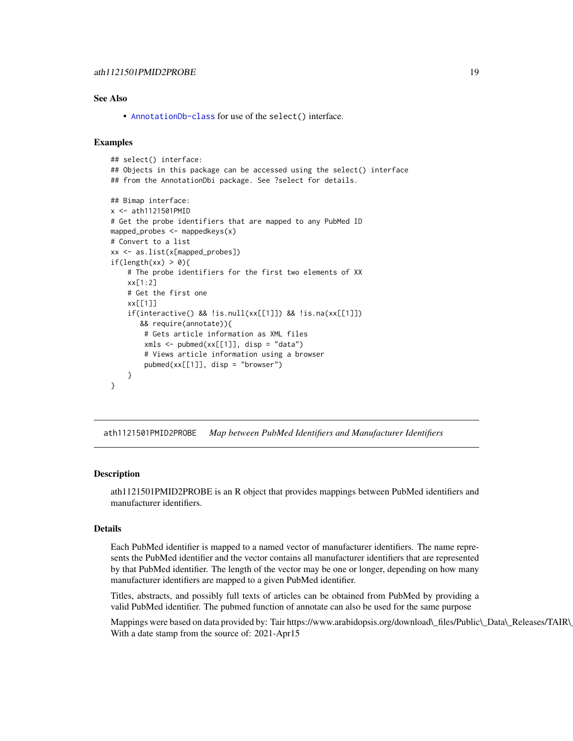<span id="page-18-0"></span>• [AnnotationDb-class](#page-0-0) for use of the select() interface.

#### Examples

```
## select() interface:
## Objects in this package can be accessed using the select() interface
## from the AnnotationDbi package. See ?select for details.
## Bimap interface:
x <- ath1121501PMID
# Get the probe identifiers that are mapped to any PubMed ID
mapped_probes <- mappedkeys(x)
# Convert to a list
xx <- as.list(x[mapped_probes])
if(length(xx) > 0){
    # The probe identifiers for the first two elements of XX
   xx[1:2]
   # Get the first one
   xx[[1]]
    if(interactive() && !is.null(xx[[1]]) && !is.na(xx[[1]])
      && require(annotate)){
       # Gets article information as XML files
       xmls < -pubmed(xx[[1]], disp = "data")# Views article information using a browser
       pubmed(xx[[1]], disp = "browser")
   }
}
```
ath1121501PMID2PROBE *Map between PubMed Identifiers and Manufacturer Identifiers*

#### Description

ath1121501PMID2PROBE is an R object that provides mappings between PubMed identifiers and manufacturer identifiers.

#### Details

Each PubMed identifier is mapped to a named vector of manufacturer identifiers. The name represents the PubMed identifier and the vector contains all manufacturer identifiers that are represented by that PubMed identifier. The length of the vector may be one or longer, depending on how many manufacturer identifiers are mapped to a given PubMed identifier.

Titles, abstracts, and possibly full texts of articles can be obtained from PubMed by providing a valid PubMed identifier. The pubmed function of annotate can also be used for the same purpose

Mappings were based on data provided by: Tair https://www.arabidopsis.org/download\\_files/Public\\_Data\\_Releases/TAIR\ With a date stamp from the source of: 2021-Apr15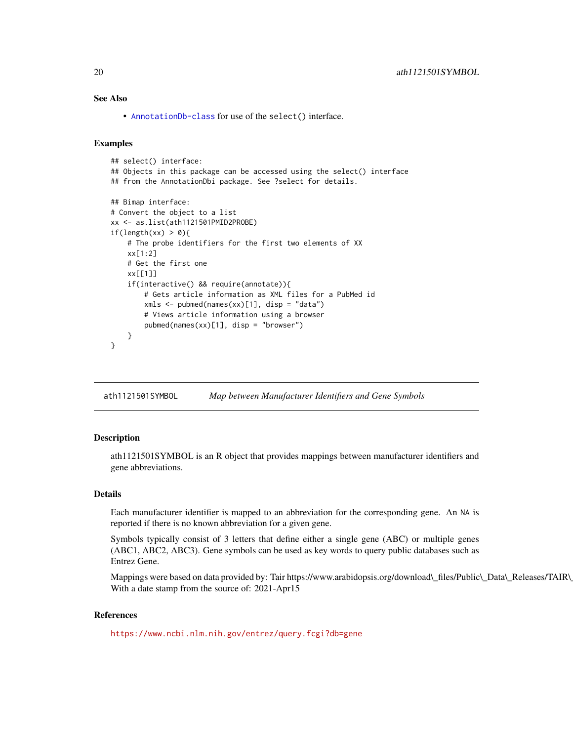<span id="page-19-0"></span>• [AnnotationDb-class](#page-0-0) for use of the select() interface.

## Examples

```
## select() interface:
## Objects in this package can be accessed using the select() interface
## from the AnnotationDbi package. See ?select for details.
## Bimap interface:
# Convert the object to a list
xx <- as.list(ath1121501PMID2PROBE)
if(length(xx) > 0){
    # The probe identifiers for the first two elements of XX
   xx[1:2]
   # Get the first one
   xx[[1]]
    if(interactive() && require(annotate)){
       # Gets article information as XML files for a PubMed id
       xmls <- pubmed(names(xx)[1], disp = "data")
       # Views article information using a browser
       pubmed(names(xx)[1], disp = "browser")
   }
}
```
ath1121501SYMBOL *Map between Manufacturer Identifiers and Gene Symbols*

## Description

ath1121501SYMBOL is an R object that provides mappings between manufacturer identifiers and gene abbreviations.

#### Details

Each manufacturer identifier is mapped to an abbreviation for the corresponding gene. An NA is reported if there is no known abbreviation for a given gene.

Symbols typically consist of 3 letters that define either a single gene (ABC) or multiple genes (ABC1, ABC2, ABC3). Gene symbols can be used as key words to query public databases such as Entrez Gene.

Mappings were based on data provided by: Tair https://www.arabidopsis.org/download\\_files/Public\\_Data\\_Releases/TAIR\ With a date stamp from the source of: 2021-Apr15

#### References

<https://www.ncbi.nlm.nih.gov/entrez/query.fcgi?db=gene>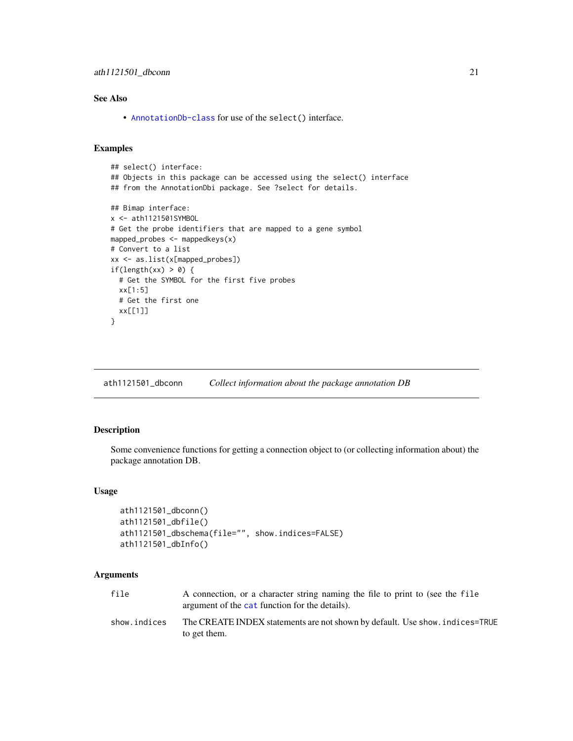<span id="page-20-0"></span>• [AnnotationDb-class](#page-0-0) for use of the select() interface.

## Examples

```
## select() interface:
## Objects in this package can be accessed using the select() interface
## from the AnnotationDbi package. See ?select for details.
## Bimap interface:
x <- ath1121501SYMBOL
# Get the probe identifiers that are mapped to a gene symbol
mapped_probes <- mappedkeys(x)
# Convert to a list
xx <- as.list(x[mapped_probes])
if(length(xx) > 0) {
  # Get the SYMBOL for the first five probes
  xx[1:5]
  # Get the first one
  xx[[1]]
}
```
ath1121501\_dbconn *Collect information about the package annotation DB*

#### Description

Some convenience functions for getting a connection object to (or collecting information about) the package annotation DB.

#### Usage

```
ath1121501_dbconn()
ath1121501_dbfile()
ath1121501_dbschema(file="", show.indices=FALSE)
ath1121501_dbInfo()
```
#### Arguments

| file         | A connection, or a character string naming the file to print to (see the file<br>argument of the cat function for the details). |
|--------------|---------------------------------------------------------------------------------------------------------------------------------|
| show.indices | The CREATE INDEX statements are not shown by default. Use show, indices=TRUE<br>to get them.                                    |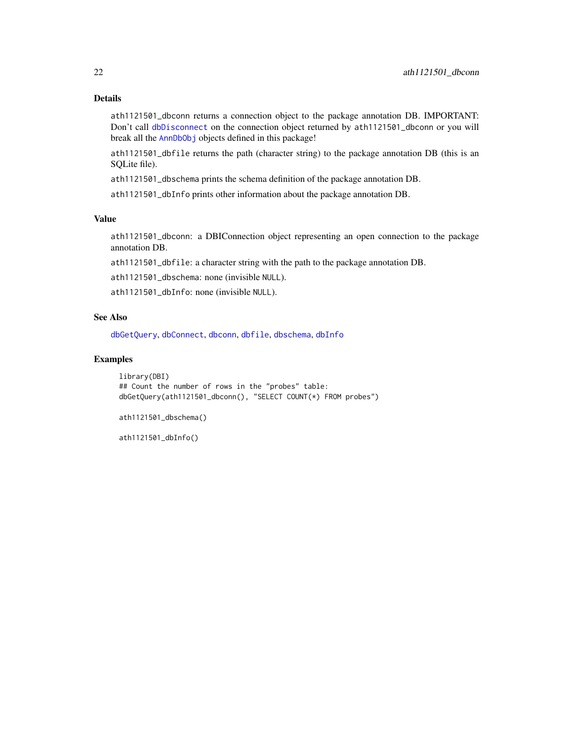## <span id="page-21-0"></span>Details

ath1121501\_dbconn returns a connection object to the package annotation DB. IMPORTANT: Don't call [dbDisconnect](#page-0-0) on the connection object returned by ath1121501\_dbconn or you will break all the [AnnDbObj](#page-0-0) objects defined in this package!

ath1121501\_dbfile returns the path (character string) to the package annotation DB (this is an SQLite file).

ath1121501\_dbschema prints the schema definition of the package annotation DB.

ath1121501\_dbInfo prints other information about the package annotation DB.

## Value

ath1121501\_dbconn: a DBIConnection object representing an open connection to the package annotation DB.

ath1121501\_dbfile: a character string with the path to the package annotation DB.

ath1121501\_dbschema: none (invisible NULL).

ath1121501\_dbInfo: none (invisible NULL).

#### See Also

[dbGetQuery](#page-0-0), [dbConnect](#page-0-0), [dbconn](#page-0-0), [dbfile](#page-0-0), [dbschema](#page-0-0), [dbInfo](#page-0-0)

## Examples

library(DBI) ## Count the number of rows in the "probes" table: dbGetQuery(ath1121501\_dbconn(), "SELECT COUNT(\*) FROM probes")

ath1121501\_dbschema()

ath1121501\_dbInfo()